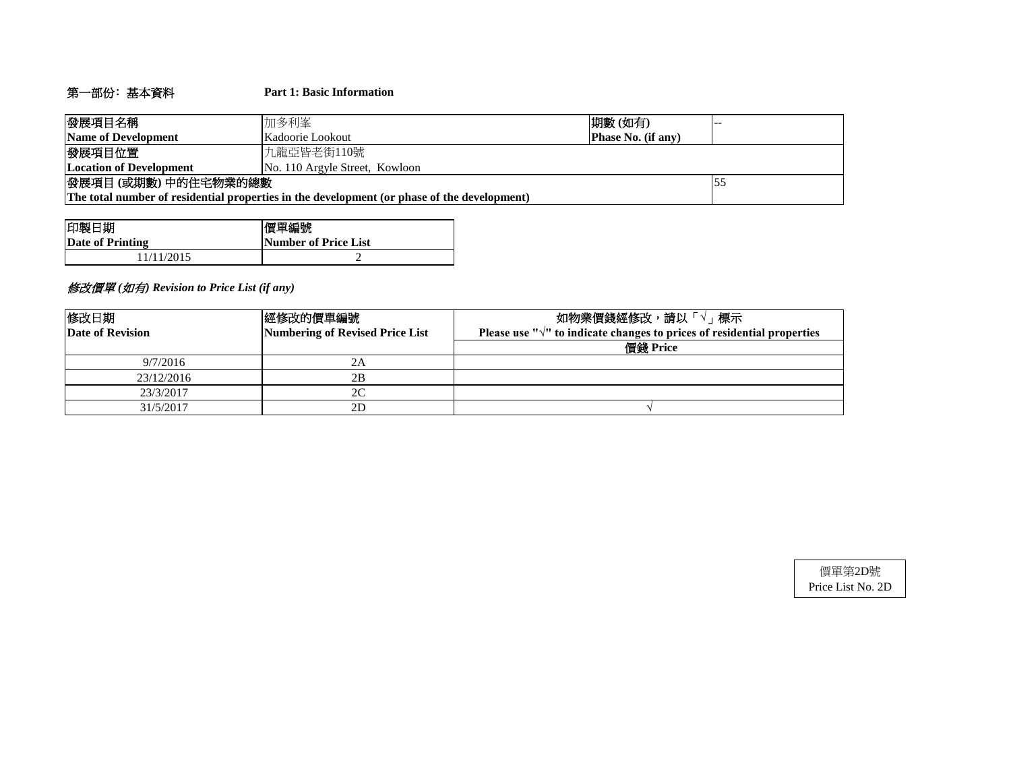# 第一部份﹕基本資料 **Part 1: Basic Information**

| 發展項目名稱                                                                                      | 加多利峯                                   | 期數(如有) |  |  |  |  |  |
|---------------------------------------------------------------------------------------------|----------------------------------------|--------|--|--|--|--|--|
| Name of Development                                                                         | Phase No. (if any)<br>Kadoorie Lookout |        |  |  |  |  |  |
| 發展項目位置                                                                                      | 九龍亞皆老街110號                             |        |  |  |  |  |  |
| Location of Development                                                                     | No. 110 Argyle Street, Kowloon         |        |  |  |  |  |  |
| 發展項目(或期數)中的住宅物業的總數<br>15 <sup>5</sup>                                                       |                                        |        |  |  |  |  |  |
| The total number of residential properties in the development (or phase of the development) |                                        |        |  |  |  |  |  |

| 印製日期             | 價單編號                        |
|------------------|-----------------------------|
| Date of Printing | <b>Number of Price List</b> |
| 11/11/2015       |                             |

# 修改價單 *(*如有*) Revision to Price List (if any)*

| 修改日期                    | 經修改的價單編號                        | 如物業價錢經修改,請以「√」標示                                                                  |
|-------------------------|---------------------------------|-----------------------------------------------------------------------------------|
| <b>Date of Revision</b> | Numbering of Revised Price List | Please use " $\sqrt{ }$ " to indicate changes to prices of residential properties |
|                         |                                 | 價錢 Price                                                                          |
| 9/7/2016                | 2Α                              |                                                                                   |
| 23/12/2016              | 2В                              |                                                                                   |
| 23/3/2017               | 2C                              |                                                                                   |
| 31/5/2017               | 2D                              |                                                                                   |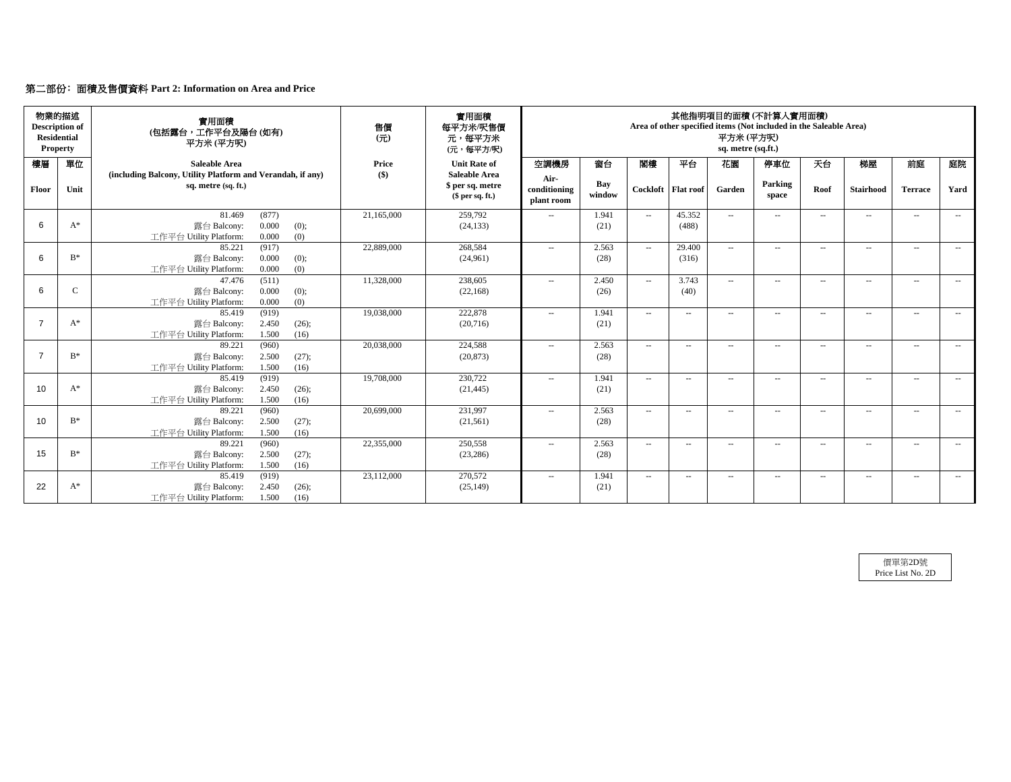# 第二部份﹕面積及售價資料 **Part 2: Information on Area and Price**

| <b>Residential</b> | 物業的描述<br><b>Description of</b><br><b>Property</b> | 實用面積<br>(包括露台,工作平台及陽台(如有)<br>平方米 (平方呎)                                             | 售價<br>$\overline{\pi}$ | 實用面積<br>每平方米/呎售價<br>元,每平方米<br>(元,每平方/呎)     | 其他指明項目的面積 (不計算入實用面積)<br>Area of other specified items (Not included in the Saleable Area)<br>平方米 (平方呎)<br>sq. metre (sq.ft.) |               |               |                          |                          |                  |                          |                  |                |                          |
|--------------------|---------------------------------------------------|------------------------------------------------------------------------------------|------------------------|---------------------------------------------|------------------------------------------------------------------------------------------------------------------------------|---------------|---------------|--------------------------|--------------------------|------------------|--------------------------|------------------|----------------|--------------------------|
| 樓層                 | 單位                                                | <b>Saleable Area</b><br>(including Balcony, Utility Platform and Verandah, if any) | Price<br>$($ \$)       | <b>Unit Rate of</b><br><b>Saleable Area</b> | 空調機房<br>Air-                                                                                                                 | 窗台            | 閉樓            | 平台                       | 花園                       | 停車位              | 天台                       | 梯屋               | 前庭             | 庭院                       |
| Floor              | Unit                                              | sq. metre (sq. ft.)                                                                |                        | \$ per sq. metre<br>\$per sq. ft.)          | conditioning<br>plant room                                                                                                   | Bay<br>window | Cockloft      | <b>Flat roof</b>         | Garden                   | Parking<br>space | Roof                     | <b>Stairhood</b> | <b>Terrace</b> | Yard                     |
| 6                  | $A^*$                                             | (877)<br>81.469<br>0.000                                                           | 21,165,000             | 259,792                                     | $\sim$                                                                                                                       | 1.941         | $\sim$ $\sim$ | 45.352                   | $\sim$ $-$               | $\sim$           | $\sim$                   | $\sim$           | $\sim$         | $\sim$                   |
|                    |                                                   | (0);<br>露台 Balcony:<br>工作平台 Utility Platform:<br>0.000<br>(0)                      |                        | (24, 133)                                   |                                                                                                                              | (21)          |               | (488)                    |                          |                  |                          |                  |                |                          |
|                    |                                                   | 85.221<br>(917)                                                                    | 22,889,000             | 268,584                                     | $\sim$                                                                                                                       | 2.563         | $\sim$ $\sim$ | 29.400                   | $\sim$                   | $\sim$           | $\sim$                   | $\sim$           | $\sim$         |                          |
| 6                  | $B^*$                                             | 0.000<br>露台 Balcony:<br>(0);<br>0.000<br>(0)<br>工作平台 Utility Platform:             |                        | (24,961)                                    |                                                                                                                              | (28)          |               | (316)                    |                          |                  |                          |                  |                |                          |
|                    |                                                   | (511)<br>47.476                                                                    | 11,328,000             | 238,605                                     | $\sim$                                                                                                                       | 2.450         | $\sim$ $\sim$ | 3.743                    | $\sim$ $-$               | $\sim$           | $ -$                     | $\sim$           | $\sim$         | $\sim$                   |
| 6                  | $\mathbf C$                                       | 0.000<br>露台 Balcony:<br>(0);<br>(0)<br>工作平台 Utility Platform:<br>0.000             |                        | (22, 168)                                   |                                                                                                                              | (26)          |               | (40)                     |                          |                  |                          |                  |                |                          |
|                    |                                                   | 85.419<br>(919)                                                                    | 19.038.000             | 222,878                                     | $\sim$                                                                                                                       | 1.941         | $\sim$ $\sim$ | $- -$                    | $\overline{\phantom{a}}$ | $\sim$           | $\sim$                   | $\sim$           | $\sim$         | $\sim$                   |
| $\overline{7}$     | $A^*$                                             | 2.450<br>露台 Balcony:<br>(26);                                                      |                        | (20,716)                                    |                                                                                                                              | (21)          |               |                          |                          |                  |                          |                  |                |                          |
|                    |                                                   | 1.500<br>(16)<br>工作平台 Utility Platform:<br>89.221<br>(960)                         | 20,038,000             | 224,588                                     | $- -$                                                                                                                        | 2.563         | $\sim$        | $- -$                    | $\overline{\phantom{a}}$ | $\sim$           | $\sim$                   | $\sim$           | $\sim$         | $\sim$                   |
| $\overline{7}$     | $B^*$                                             | 2.500<br>露台 Balcony:<br>(27);                                                      |                        | (20, 873)                                   |                                                                                                                              | (28)          |               |                          |                          |                  |                          |                  |                |                          |
|                    |                                                   | 工作平台 Utility Platform:<br>1.500<br>(16)                                            |                        |                                             |                                                                                                                              |               |               |                          |                          |                  |                          |                  |                |                          |
| 10                 | $A^*$                                             | 85.419<br>(919)<br>2.450<br>露台 Balcony:                                            | 19,708,000             | 230,722                                     | $\sim$                                                                                                                       | 1.941<br>(21) | $\sim$ $\sim$ | $\sim$                   | $\sim$                   | $\sim$           | $\sim$                   | $\sim$           | $\sim$         | $\sim$                   |
|                    |                                                   | (26);<br>1.500<br>(16)<br>工作平台 Utility Platform:                                   |                        | (21, 445)                                   |                                                                                                                              |               |               |                          |                          |                  |                          |                  |                |                          |
|                    |                                                   | 89.221<br>(960)                                                                    | 20,699,000             | 231.997                                     | $\sim$                                                                                                                       | 2.563         | $\sim$ $\sim$ | $\sim$                   | $\sim$                   | $\sim$           | $\sim$                   | $\sim$           | $\sim$         | $\sim$                   |
| 10                 | $B^*$                                             | 2.500<br>露台 Balcony:<br>(27);                                                      |                        | (21, 561)                                   |                                                                                                                              | (28)          |               |                          |                          |                  |                          |                  |                |                          |
|                    |                                                   | 工作平台 Utility Platform:<br>1.500<br>(16)<br>89.221<br>(960)                         | 22,355,000             | 250,558                                     | $\overline{\phantom{a}}$                                                                                                     | 2.563         | $\sim$ $\sim$ | $\overline{\phantom{a}}$ | $\overline{\phantom{a}}$ | $\sim$           | $\overline{\phantom{a}}$ | $\sim$           | $\sim$         | $\sim$                   |
| 15                 | B*                                                | 2.500<br>露台 Balcony:<br>(27);                                                      |                        | (23, 286)                                   |                                                                                                                              | (28)          |               |                          |                          |                  |                          |                  |                |                          |
|                    |                                                   | 1.500<br>(16)<br>工作平台 Utility Platform:                                            |                        |                                             |                                                                                                                              |               |               |                          |                          |                  |                          |                  |                |                          |
|                    |                                                   | 85.419<br>(919)                                                                    | 23,112,000             | 270,572                                     | $\overline{\phantom{a}}$                                                                                                     | 1.941         | $\sim$        | $\overline{\phantom{a}}$ | $\overline{\phantom{a}}$ | $\sim$           | $\sim$                   | $\sim$           | $\sim$         | $\hspace{0.05cm} \ldots$ |
| 22                 | $A^*$                                             | 2.450<br>露台 Balcony:<br>(26);<br>工作平台 Utility Platform:<br>1.500<br>(16)           |                        | (25, 149)                                   |                                                                                                                              | (21)          |               |                          |                          |                  |                          |                  |                |                          |
|                    |                                                   |                                                                                    |                        |                                             |                                                                                                                              |               |               |                          |                          |                  |                          |                  |                |                          |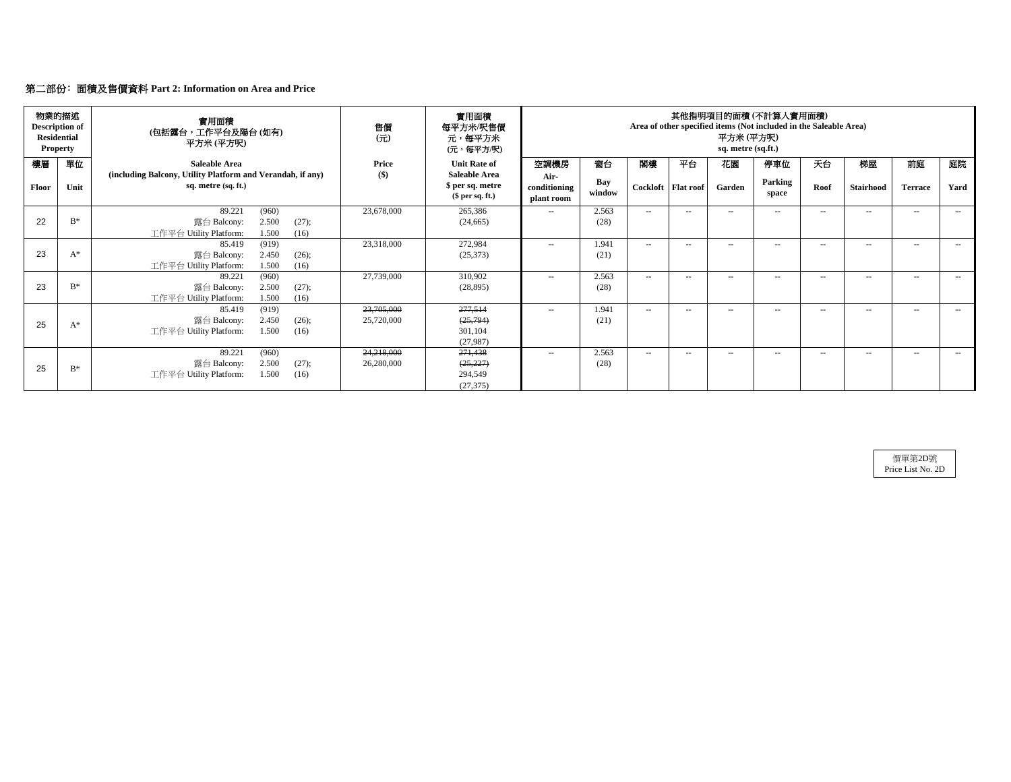# 第二部份﹕面積及售價資料 **Part 2: Information on Area and Price**

|       | 物業的描述<br><b>Description of</b><br><b>Residential</b><br><b>Property</b> | 實用面積<br>(包括露台,工作平台及陽台 (如有)<br>平方米 (平方呎)                                           | 售價<br>(7t) | 實用面積<br>每平方米/呎售價<br>元,每平方米<br>(元・每平方/呎)                      |                                    |               | 其他指明項目的面積 (不計算人實用面積)<br>Area of other specified items (Not included in the Saleable Area)<br>平方米 (平方呎)<br>sq. metre (sq.ft.) |                      |            |                  |        |                  |                |        |
|-------|-------------------------------------------------------------------------|-----------------------------------------------------------------------------------|------------|--------------------------------------------------------------|------------------------------------|---------------|------------------------------------------------------------------------------------------------------------------------------|----------------------|------------|------------------|--------|------------------|----------------|--------|
| 樓層    | 單位                                                                      | Saleable Area                                                                     | Price      | <b>Unit Rate of</b>                                          | 空調機房                               | 窗台            | 閣樓                                                                                                                           | 平台                   | 花園         | 停車位              | 天台     | 梯屋               | 前庭             | 庭院     |
| Floor | Unit                                                                    | (including Balcony, Utility Platform and Verandah, if any)<br>sq. metre (sq. ft.) | $($ \$)    | <b>Saleable Area</b><br>\$ per sq. metre<br>$$$ per sq. ft.) | Air-<br>conditioning<br>plant room | Bay<br>window |                                                                                                                              | Cockloft   Flat roof | Garden     | Parking<br>space | Roof   | <b>Stairhood</b> | <b>Terrace</b> | Yard   |
|       |                                                                         | 89.221<br>(960)                                                                   | 23,678,000 | 265,386                                                      | $\sim$                             | 2.563         | $\sim$                                                                                                                       | $\sim$               | $\sim$ $-$ | $- -$            | $\sim$ | $\sim$           | $\sim$         | $\sim$ |
| 22    | $B^*$                                                                   | 2.500<br>(27);<br>露台 Balcony:<br>工作平台 Utility Platform:<br>1.500<br>(16)          |            | (24, 665)                                                    |                                    | (28)          |                                                                                                                              |                      |            |                  |        |                  |                |        |
|       |                                                                         | (919)<br>85.419                                                                   | 23,318,000 | 272,984                                                      | $\sim$                             | 1.941         | $\sim$ $\sim$                                                                                                                | $\sim$               | $\sim$     | $\sim$           | $\sim$ | $\sim$           | $\sim$         | $\sim$ |
| 23    | $A^*$                                                                   | 2.450<br>(26);<br>露台 Balcony:                                                     |            | (25,373)                                                     |                                    | (21)          |                                                                                                                              |                      |            |                  |        |                  |                |        |
|       |                                                                         | 工作平台 Utility Platform:<br>1.500<br>(16)                                           |            |                                                              |                                    |               |                                                                                                                              |                      |            |                  |        |                  |                |        |
|       | $B^*$                                                                   | 89.221<br>(960)                                                                   | 27,739,000 | 310,902                                                      | $\sim$                             | 2.563         | $\sim$ $-$                                                                                                                   | $-$                  | $\sim$     | $- -$            | $\sim$ | $\sim$           | $\sim$         | $- -$  |
| 23    |                                                                         | 2.500<br>露台 Balcony:<br>(27);<br>工作平台 Utility Platform:<br>1.500<br>(16)          |            | (28, 895)                                                    |                                    | (28)          |                                                                                                                              |                      |            |                  |        |                  |                |        |
|       |                                                                         | 85.419<br>(919)                                                                   | 23,705,000 | 277,514                                                      | $-$                                | 1.941         | $\sim$ $-$                                                                                                                   | $-$                  | $\sim$     | $-$              |        | $\sim$           | --             |        |
|       |                                                                         | 2.450<br>露台 Balcony:<br>(26);                                                     | 25,720,000 | (25, 794)                                                    |                                    | (21)          |                                                                                                                              |                      |            |                  |        |                  |                |        |
| 25    | $A^*$                                                                   | 工作平台 Utility Platform:<br>1.500<br>(16)                                           |            | 301,104                                                      |                                    |               |                                                                                                                              |                      |            |                  |        |                  |                |        |
|       |                                                                         |                                                                                   |            | (27,987)                                                     |                                    |               |                                                                                                                              |                      |            |                  |        |                  |                |        |
|       |                                                                         | 89.221<br>(960)                                                                   | 24,218,000 | 271,438                                                      | $\sim$                             | 2.563         | $\sim$                                                                                                                       | $\sim$               | $\sim$ $-$ | $- -$            | $\sim$ | $\sim$           | $\sim$         | $ -$   |
| 25    | $B^*$                                                                   | 2.500<br>(27);<br>露台 Balcony:                                                     | 26,280,000 | (25, 227)                                                    |                                    | (28)          |                                                                                                                              |                      |            |                  |        |                  |                |        |
|       |                                                                         | 1.500<br>工作平台 Utility Platform:<br>(16)                                           |            | 294,549                                                      |                                    |               |                                                                                                                              |                      |            |                  |        |                  |                |        |
|       |                                                                         |                                                                                   |            | (27, 375)                                                    |                                    |               |                                                                                                                              |                      |            |                  |        |                  |                |        |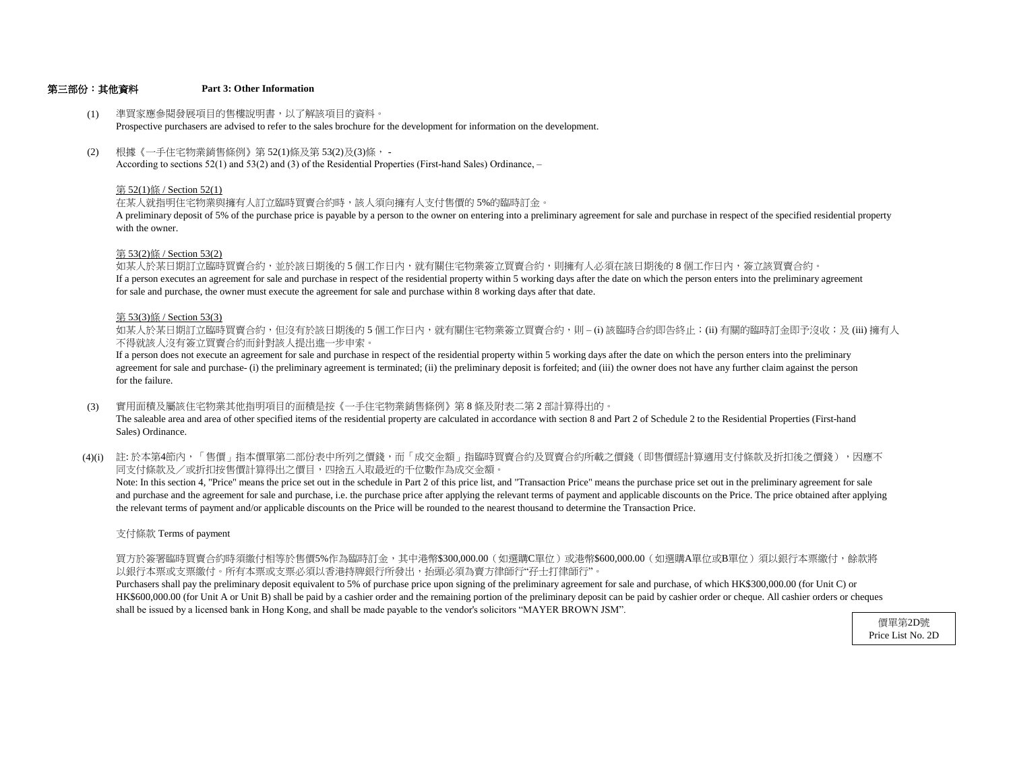### 第三部份:其他資料 **Part 3: Other Information**

- (1) 準買家應參閱發展項目的售樓說明書,以了解該項目的資料。 Prospective purchasers are advised to refer to the sales brochure for the development for information on the development.
- (2) 根據《一手住宅物業銷售條例》第 52(1)條及第 53(2)及(3)條, - According to sections 52(1) and 53(2) and (3) of the Residential Properties (First-hand Sales) Ordinance, –

#### 第 52(1)條 / Section 52(1)

在某人就指明住宅物業與擁有人訂立臨時買賣合約時,該人須向擁有人支付售價的 5%的臨時訂金。

with the owner. A preliminary deposit of 5% of the purchase price is payable by a person to the owner on entering into a preliminary agreement for sale and purchase in respect of the specified residential property

#### 第 53(2)條 / Section 53(2)

If a person executes an agreement for sale and purchase in respect of the residential property within 5 working days after the date on which the person enters into the preliminary agreement for sale and purchase, the owner must execute the agreement for sale and purchase within 8 working days after that date. 如某人於某日期訂立臨時買賣合約,並於該日期後的5個工作日內,就有關住宅物業簽立買賣合約,則擁有人必須在該日期後的8個工作日內,簽立該買賣合約。

#### 第 53(3)條 / Section 53(3)

不得就該人沒有簽立買賣合約而針對該人提出進一步申索。 如某人於某日期訂立臨時買賣合約,但沒有於該日期後的 5 個工作日内,就有關住宅物業簽立買賣合約,則 – (i) 該臨時合約即告終止;(ii) 有關的臨時訂金即予沒收;及 (iii) 擁有人

for the failure. agreement for sale and purchase- (i) the preliminary agreement is terminated; (ii) the preliminary deposit is forfeited; and (iii) the owner does not have any further claim against the person If a person does not execute an agreement for sale and purchase in respect of the residential property within 5 working days after the date on which the person enters into the preliminary

- (3) 實用面積及屬該住宅物業其他指明項目的面積是按《一手住宅物業銷售條例》第 8 條及附表二第 2 部計算得出的。 The saleable area and area of other specified items of the residential property are calculated in accordance with section 8 and Part 2 of Schedule 2 to the Residential Properties (First-hand Sales) Ordinance.
- (4)(i) 註:於本第4節內,「售價」指本價單第二部份表中所列之價錢,而「成交金額」指臨時買賣合約及買賣合約所載之價錢(即售價經計算適用支付條款及折扣後之價錢 ),因應不 同支付條款及/或折扣按售價計算得出之價目,四捨五入取最近的千位數作為成交金額。

the relevant terms of payment and/or applicable discounts on the Price will be rounded to the nearest thousand to determine the Transaction Price. and purchase and the agreement for sale and purchase, i.e. the purchase price after applying the relevant terms of payment and applicable discounts on the Price. The price obtained after applying Note: In this section 4, "Price" means the price set out in the schedule in Part 2 of this price list, and "Transaction Price" means the purchase price set out in the preliminary agreement for sale

#### 支付條款 Terms of payment

以銀行本票或支票繳付。所有本票或支票必須以香港持牌銀行所發出,抬頭必須為賣方律師行"孖士打律師行"。 買方於簽署臨時買賣合約時須繳付相等於售價5%作為臨時訂金,其中港幣\$300,000.00(如選購C單位)或港幣\$600,000.00(如選購A單位或B單位)須以銀行本票繳付,餘款將

shall be issued by a licensed bank in Hong Kong, and shall be made payable to the vendor's solicitors "MAYER BROWN JSM". HK\$600,000.00 (for Unit A or Unit B) shall be paid by a cashier order and the remaining portion of the preliminary deposit can be paid by cashier order or cheque. All cashier orders or cheques Purchasers shall pay the preliminary deposit equivalent to 5% of purchase price upon signing of the preliminary agreement for sale and purchase, of which HK\$300,000.00 (for Unit C) or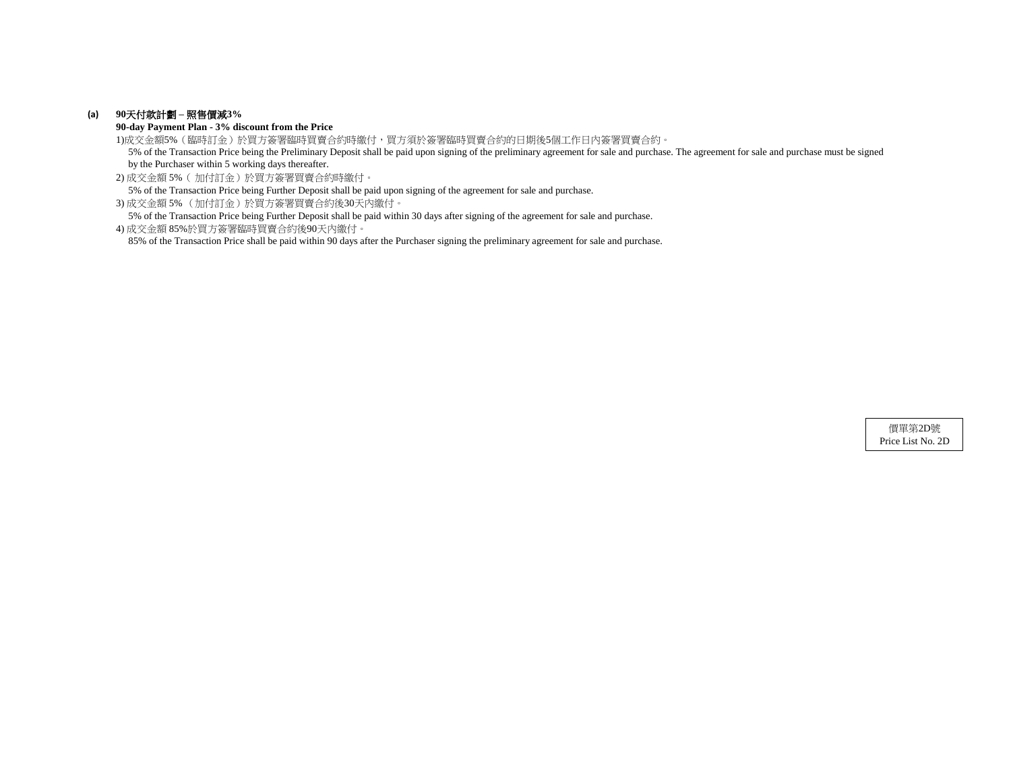## **(a) 90**天付款計劃 **–** 照售價減**3%**

**90-day Payment Plan - 3% discount from the Price**

1)成交金額5%(臨時訂金)於買方簽署臨時買賣合約時繳付,買方須於簽署臨時買賣合約的日期後5個工作日內簽署買賣合約。

 5% of the Transaction Price being the Preliminary Deposit shall be paid upon signing of the preliminary agreement for sale and purchase. The agreement for sale and purchase must be signed by the Purchaser within 5 working days thereafter.

2) 成交金額 5%( 加付訂金)於買方簽署買賣合約時繳付。

5% of the Transaction Price being Further Deposit shall be paid upon signing of the agreement for sale and purchase.

3) 成交金額 5% (加付訂金)於買方簽署買賣合約後30天內繳付。

5% of the Transaction Price being Further Deposit shall be paid within 30 days after signing of the agreement for sale and purchase.

4) 成交金額 85%於買方簽署臨時買賣合約後90天內繳付。

85% of the Transaction Price shall be paid within 90 days after the Purchaser signing the preliminary agreement for sale and purchase.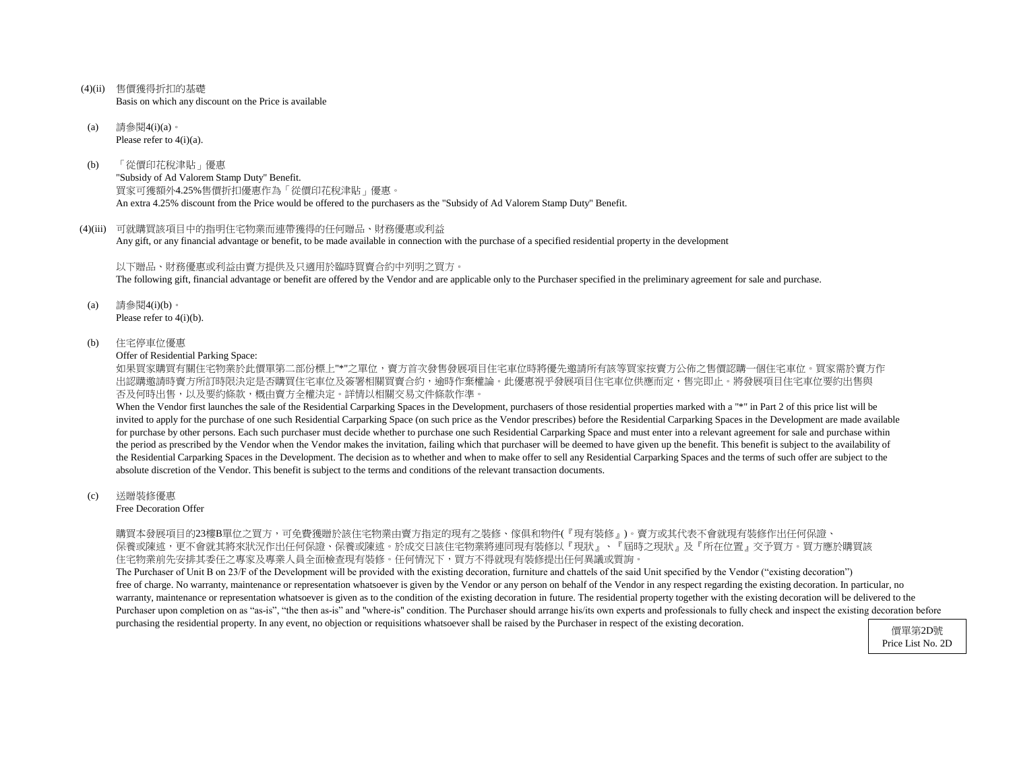- (4)(ii) 售價獲得折扣的基礎 Basis on which any discount on the Price is available
- (a) 請參閱4(i)(a)。 Please refer to 4(i)(a).
- (b) 「從價印花稅津貼」優惠 "Subsidy of Ad Valorem Stamp Duty" Benefit. 買家可獲額外4.25%售價折扣優惠作為「從價印花稅津貼」優惠。 An extra 4.25% discount from the Price would be offered to the purchasers as the "Subsidy of Ad Valorem Stamp Duty" Benefit.

#### (4)(iii) 可就購買該項目中的指明住宅物業而連帶獲得的任何贈品、財務優惠或利益

Any gift, or any financial advantage or benefit, to be made available in connection with the purchase of a specified residential property in the development

#### 以下贈品、財務優惠或利益由賣方提供及只適用於臨時買賣合約中列明之買方。

The following gift, financial advantage or benefit are offered by the Vendor and are applicable only to the Purchaser specified in the preliminary agreement for sale and purchase.

- (a) 請參閱4(i)(b)。 Please refer to 4(i)(b).
- (b) 住宅停車位優惠

Offer of Residential Parking Space:

如果買家購買有關住宅物業於此價單第二部份標上"\*"之單位,賣方首次發售發展項目住宅車位時將優先邀請所有該等買家按賣方公佈之售價認購一個住宅車位。買家需於賣方作 出認購邀請時賣方所訂時限決定是否購買住宅車位及簽署相關買賣合約,逾時作棄權論。此優惠視乎發展項目住宅車位供應而定,售完即止。將發展項目住宅車位要約出售與 否及何時出售,以及要約條款,概由賣方全權決定。詳情以相關交易文件條款作準。

When the Vendor first launches the sale of the Residential Carparking Spaces in the Development, purchasers of those residential properties marked with a "\*" in Part 2 of this price list will be invited to apply for the purchase of one such Residential Carparking Space (on such price as the Vendor prescribes) before the Residential Carparking Spaces in the Development are made available for purchase by other persons. Each such purchaser must decide whether to purchase one such Residential Carparking Space and must enter into a relevant agreement for sale and purchase within the period as prescribed by the Vendor when the Vendor makes the invitation, failing which that purchaser will be deemed to have given up the benefit. This benefit is subject to the availability of the Residential Carparking Spaces in the Development. The decision as to whether and when to make offer to sell any Residential Carparking Spaces and the terms of such offer are subject to the absolute discretion of the Vendor. This benefit is subject to the terms and conditions of the relevant transaction documents.

(c) 送贈裝修優惠

Free Decoration Offer

購買本發展項目的23樓B單位之買方,可免費獲贈於該住宅物業由賣方指定的現有之裝修、傢俱和物件(『現有裝修』)。賣方或其代表不會就現有裝修作出任何保證、 保養或陳述,更不會就其將來狀況作出任何保證、保養或陳述。於成交日該住宅物業將連同現有裝修以『現狀』、『屆時之現狀』及『所在位置』交予買方。買方應於購買該 住宅物業前先安排其委任之專家及專業人員全面檢查現有裝修。任何情況下,買方不得就現有裝修提出任何異議或質詢。

The Purchaser of Unit B on 23/F of the Development will be provided with the existing decoration, furniture and chattels of the said Unit specified by the Vendor ("existing decoration") free of charge. No warranty, maintenance or representation whatsoever is given by the Vendor or any person on behalf of the Vendor in any respect regarding the existing decoration. In particular, no warranty, maintenance or representation whatsoever is given as to the condition of the existing decoration in future. The residential property together with the existing decoration will be delivered to the Purchaser upon completion on as "as-is", "the then as-is" and "where-is" condition. The Purchaser should arrange his/its own experts and professionals to fully check and inspect the existing decoration before purchasing the residential property. In any event, no objection or requisitions whatsoever shall be raised by the Purchaser in respect of the existing decoration.

Price List No. 2D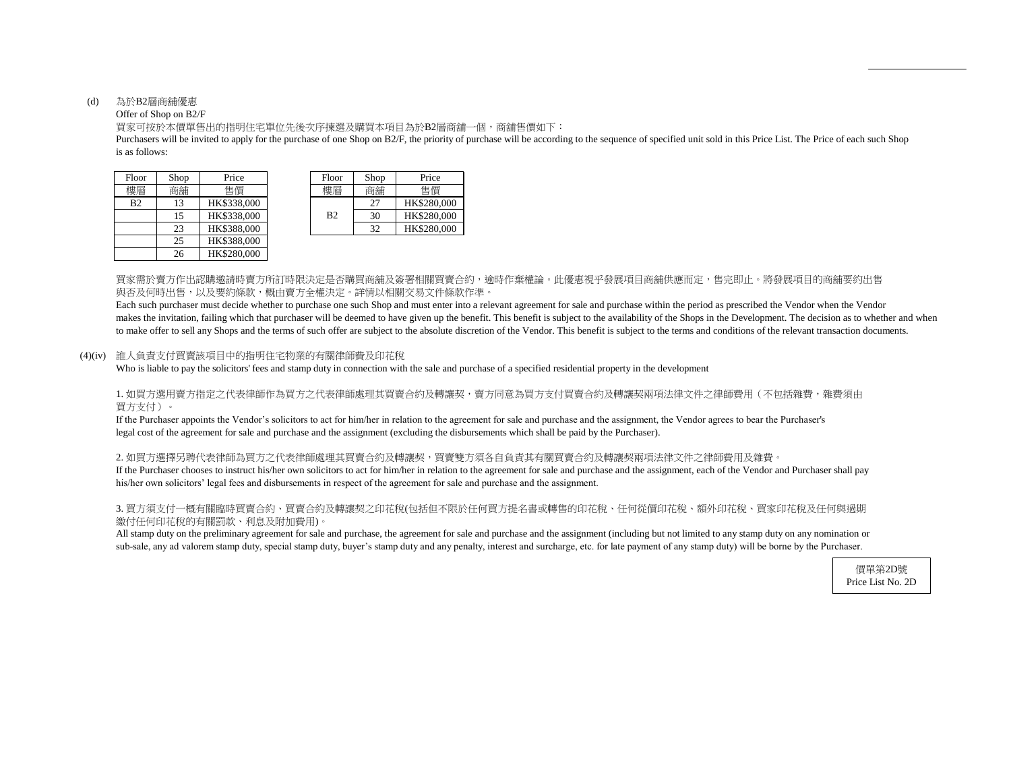## (d) 為於B2層商舖優惠

## Offer of Shop on B2/F

買家可按於本價單售出的指明住宅單位先後次序揀選及購買本項目為於B2層商舖一個,商舖售價如下:

is as follows: Purchasers will be invited to apply for the purchase of one Shop on B2/F, the priority of purchase will be according to the sequence of specified unit sold in this Price List. The Price of each such Shop

| Floor          | Shop | Price       | Floor          | Shop | Price       |
|----------------|------|-------------|----------------|------|-------------|
| 樓層             | 商舖   | 售價          | 樓層             | 商舖   | 售價          |
| B <sub>2</sub> | 13   | HK\$338,000 |                | 27   | HK\$280,000 |
|                | 15   | HK\$338,000 | B <sub>2</sub> | 30   | HK\$280,000 |
|                | 23   | HK\$388,000 |                | 32   | HK\$280,000 |
|                | 25   | HK\$388,000 |                |      |             |
|                | 26   | HK\$280,000 |                |      |             |

| Floor | Shop | Price       |
|-------|------|-------------|
|       | 空揺   | 售價          |
| B2    | 27   | HK\$280,000 |
|       | 30   | HK\$280,000 |
|       | 37   | HK\$280,000 |

買家需於賣方作出認購邀請時賣方所訂時限決定是否購買商舖及簽署相關買賣合約,逾時作棄權論。此優惠視乎發展項目商舖供應而定,售完即止。將發展項目的商舖要約出售 與否及何時出售,以及要約條款,概由賣方全權決定。詳情以相關交易文件條款作準。

Each such purchaser must decide whether to purchase one such Shop and must enter into a relevant agreement for sale and purchase within the period as prescribed the Vendor when the Vendor makes the invitation, failing which that purchaser will be deemed to have given up the benefit. This benefit is subject to the availability of the Shops in the Development. The decision as to whether and when to make offer to sell any Shops and the terms of such offer are subject to the absolute discretion of the Vendor. This benefit is subject to the terms and conditions of the relevant transaction documents.

#### (4)(iv) 誰人負責支付買賣該項目中的指明住宅物業的有關律師費及印花稅

Who is liable to pay the solicitors' fees and stamp duty in connection with the sale and purchase of a specified residential property in the development

## 1. 如買方選用賣方指定之代表律師作為買方之代表律師處理其買賣合約及轉讓契,賣方同意為買方支付買賣合約及轉讓契兩項法律文件之律師費用(不包括雜費,雜費須由 買方支付)。

If the Purchaser appoints the Vendor's solicitors to act for him/her in relation to the agreement for sale and purchase and the assignment, the Vendor agrees to bear the Purchaser's legal cost of the agreement for sale and purchase and the assignment (excluding the disbursements which shall be paid by the Purchaser).

# 2. 如買方選擇另聘代表律師為買方之代表律師處理其買賣合約及轉讓契,買賣雙方須各自負責其有關買賣合約及轉讓契兩項法律文件之律師費用及雜費。

If the Purchaser chooses to instruct his/her own solicitors to act for him/her in relation to the agreement for sale and purchase and the assignment, each of the Vendor and Purchaser shall pay his/her own solicitors' legal fees and disbursements in respect of the agreement for sale and purchase and the assignment.

# 3. 買方須支付一概有關臨時買賣合約、買賣合約及轉讓契之印花稅(包括但不限於任何買方提名書或轉售的印花稅、任何從價印花稅、額外印花稅、買家印花稅及任何與過期 繳付任何印花稅的有關罰款、利息及附加費用)。

All stamp duty on the preliminary agreement for sale and purchase, the agreement for sale and purchase and the assignment (including but not limited to any stamp duty on any nomination or sub-sale, any ad valorem stamp duty, special stamp duty, buyer's stamp duty and any penalty, interest and surcharge, etc. for late payment of any stamp duty) will be borne by the Purchaser.